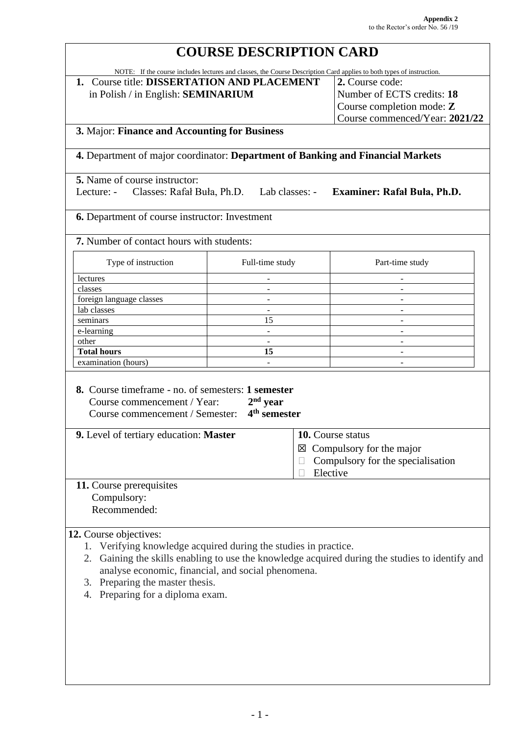## **COURSE DESCRIPTION CARD** NOTE: If the course includes lectures and classes, the Course Description Card applies to both types of instruction. **1.** Course title: **DISSERTATION AND PLACEMENT** in Polish / in English: **SEMINARIUM 2.** Course code: Number of ECTS credits: **18** Course completion mode: **Z** Course commenced/Year: **2021/22 3.** Major: **Finance and Accounting for Business 4.** Department of major coordinator: **Department of Banking and Financial Markets 5.** Name of course instructor: Lecture: - Classes: Rafał Buła, Ph.D. Lab classes: - **Examiner: Rafał Buła, Ph.D. 6.** Department of course instructor: Investment **7.** Number of contact hours with students: Type of instruction Full-time study Part-time study lectures **and the contract of the contract of the contract of the contract of the contract of the contract of the contract of the contract of the contract of the contract of the contract of the contract of the contract of**  $\blacksquare$ classes  $\blacksquare$ foreign language classes and the set of the set of the set of the set of the set of the set of the set of the set of the set of the set of the set of the set of the set of the set of the set of the set of the set of the se  $\Box$  lab classes  $\Box$ seminars  $15$   $e$ -learning  $\qquad \qquad$ other - - **Total hours 15** examination (hours) **8.** Course timeframe - no. of semesters: **1 semester** Course commencement / Year: **2 nd year** Course commencement / Semester: **4 th semester 9.** Level of tertiary education: **Master 10.** Course status  $\boxtimes$  Compulsory for the major  $\Box$  Compulsory for the specialisation **Elective 11.** Course prerequisites Compulsory: Recommended: **12.** Course objectives: 1. Verifying knowledge acquired during the studies in practice. 2. Gaining the skills enabling to use the knowledge acquired during the studies to identify and analyse economic, financial, and social phenomena. 3. Preparing the master thesis. 4. Preparing for a diploma exam.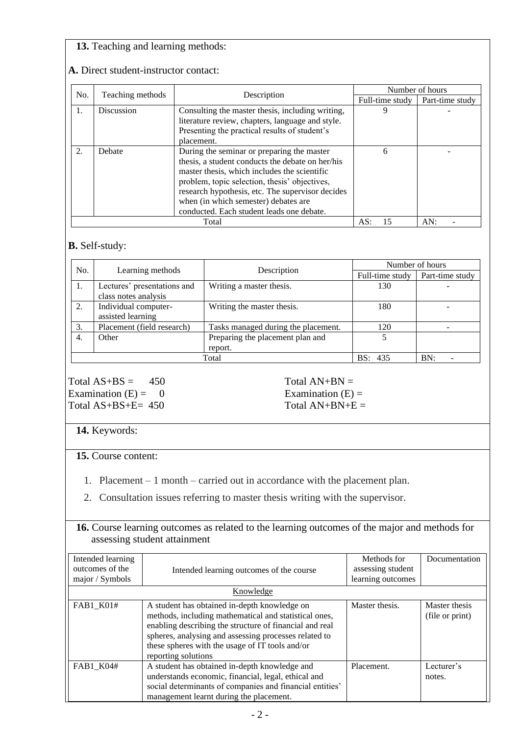### **13.** Teaching and learning methods:

| No. | Teaching methods | Description                                                                                                                                                                                                                                                                                                                              | Number of hours |                 |
|-----|------------------|------------------------------------------------------------------------------------------------------------------------------------------------------------------------------------------------------------------------------------------------------------------------------------------------------------------------------------------|-----------------|-----------------|
|     |                  |                                                                                                                                                                                                                                                                                                                                          | Full-time study | Part-time study |
| 1.  | Discussion       | Consulting the master thesis, including writing,<br>literature review, chapters, language and style.<br>Presenting the practical results of student's<br>placement.                                                                                                                                                                      |                 |                 |
| 2.  | Debate           | During the seminar or preparing the master<br>thesis, a student conducts the debate on her/his<br>master thesis, which includes the scientific<br>problem, topic selection, thesis' objectives,<br>research hypothesis, etc. The supervisor decides<br>when (in which semester) debates are<br>conducted. Each student leads one debate. | 6               |                 |
|     |                  | AS:<br>15                                                                                                                                                                                                                                                                                                                                | AN:             |                 |

#### **A.** Direct student-instructor contact:

#### **B.** Self-study:

| No.   | Learning methods            | Description                         | Number of hours |                 |
|-------|-----------------------------|-------------------------------------|-----------------|-----------------|
|       |                             |                                     | Full-time study | Part-time study |
| 1.    | Lectures' presentations and | Writing a master thesis.            | 130             |                 |
|       | class notes analysis        |                                     |                 |                 |
| 2.    | Individual computer-        | Writing the master thesis.          | 180             |                 |
|       | assisted learning           |                                     |                 |                 |
| 3.    | Placement (field research)  | Tasks managed during the placement. | 120             |                 |
| 4.    | Other                       | Preparing the placement plan and    |                 |                 |
|       |                             | report.                             |                 |                 |
| Total |                             |                                     | <b>BS:</b> 435  | BN:             |

Total  $AS+BS = 450$  Total  $AN+BN =$ Examination  $(E) = 0$  Examination  $(E) = 0$ Total  $AS+BS+E= 450$  Total  $AN+BN+E=$ 

# **14.** Keywords:

#### **15.** Course content:

- 1. Placement 1 month carried out in accordance with the placement plan.
- 2. Consultation issues referring to master thesis writing with the supervisor.

| <b>16.</b> Course learning outcomes as related to the learning outcomes of the major and methods for |  |
|------------------------------------------------------------------------------------------------------|--|
| assessing student attainment                                                                         |  |

| Intended learning<br>outcomes of the<br>major / Symbols | Intended learning outcomes of the course                                                                                                                                                                                                                                                            | Methods for<br>assessing student<br>learning outcomes | Documentation                    |  |
|---------------------------------------------------------|-----------------------------------------------------------------------------------------------------------------------------------------------------------------------------------------------------------------------------------------------------------------------------------------------------|-------------------------------------------------------|----------------------------------|--|
|                                                         | Knowledge                                                                                                                                                                                                                                                                                           |                                                       |                                  |  |
| FAB1_K01#                                               | A student has obtained in-depth knowledge on<br>methods, including mathematical and statistical ones,<br>enabling describing the structure of financial and real<br>spheres, analysing and assessing processes related to<br>these spheres with the usage of IT tools and/or<br>reporting solutions | Master thesis.                                        | Master thesis<br>(file or print) |  |
| FAB1 K04#                                               | A student has obtained in-depth knowledge and<br>understands economic, financial, legal, ethical and<br>social determinants of companies and financial entities'<br>management learnt during the placement.                                                                                         | Placement.                                            | Lecturer's<br>notes.             |  |